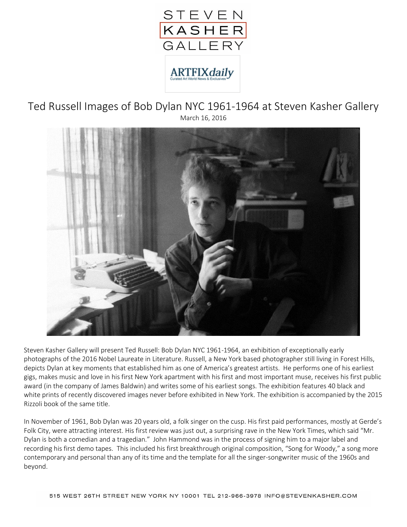

Ted Russell Images of Bob Dylan NYC 1961-1964 at Steven Kasher Gallery March 16, 2016



Steven Kasher Gallery will present Ted Russell: Bob Dylan NYC 1961-1964, an exhibition of exceptionally early photographs of the 2016 Nobel Laureate in Literature. Russell, a New York based photographer still living in Forest Hills, depicts Dylan at key moments that established him as one of America's greatest artists. He performs one of his earliest gigs, makes music and love in his first New York apartment with his first and most important muse, receives his first public award (in the company of James Baldwin) and writes some of his earliest songs. The exhibition features 40 black and white prints of recently discovered images never before exhibited in New York. The exhibition is accompanied by the 2015 Rizzoli book of the same title.

In November of 1961, Bob Dylan was 20 years old, a folk singer on the cusp. His first paid performances, mostly at Gerde's Folk City, were attracting interest. His first review was just out, a surprising rave in the New York Times, which said "Mr. Dylan is both a comedian and a tragedian." John Hammond was in the process of signing him to a major label and recording his first demo tapes. This included his first breakthrough original composition, "Song for Woody," a song more contemporary and personal than any of its time and the template for all the singer-songwriter music of the 1960s and beyond.